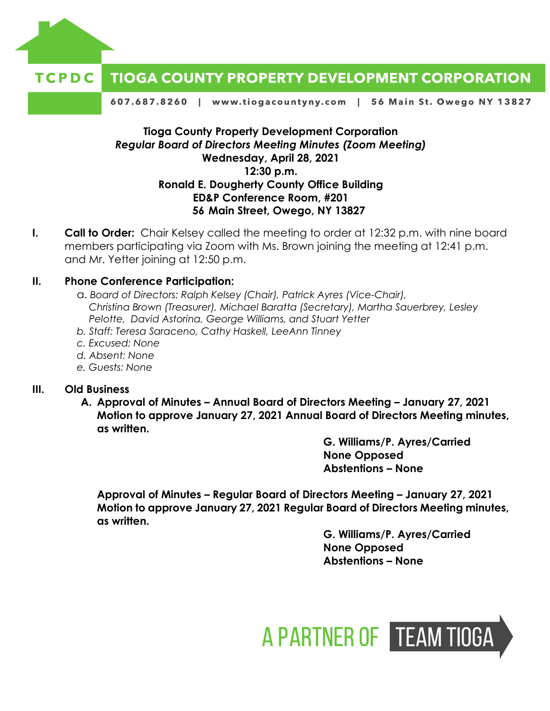

#### **TIOGA COUNTY PROPERTY DEVELOPMENT CORPORATION** TCPDC

607.687.8260 | www.tiogacountyny.com | 56 Main St. Owego NY 13827

# **Tioga County Property Development Corporation** *Regular Board of Directors Meeting Minutes (Zoom Meeting)* **Wednesday, April 28, 2021 12:30 p.m. Ronald E. Dougherty County Office Building ED&P Conference Room, #201 56 Main Street, Owego, NY 13827**

**I. Call to Order:** Chair Kelsey called the meeting to order at 12:32 p.m. with nine board members participating via Zoom with Ms. Brown joining the meeting at 12:41 p.m. and Mr. Yetter joining at 12:50 p.m.

### **II. Phone Conference Participation:**

- a. *Board of Directors: Ralph Kelsey (Chair), Patrick Ayres (Vice-Chair), Christina Brown (Treasurer), Michael Baratta (Secretary), Martha Sauerbrey, Lesley Pelotte, David Astorina, George Williams, and Stuart Yetter*
- *b. Staff: Teresa Saraceno, Cathy Haskell, LeeAnn Tinney*
- *c. Excused: None*
- *d. Absent: None*
- *e. Guests: None*

#### **III. Old Business**

**A. Approval of Minutes – Annual Board of Directors Meeting – January 27, 2021 Motion to approve January 27, 2021 Annual Board of Directors Meeting minutes, as written.** 

> **G. Williams/P. Ayres/Carried None Opposed Abstentions – None**

**Approval of Minutes – Regular Board of Directors Meeting – January 27, 2021 Motion to approve January 27, 2021 Regular Board of Directors Meeting minutes, as written.** 

> **G. Williams/P. Ayres/Carried None Opposed Abstentions – None**

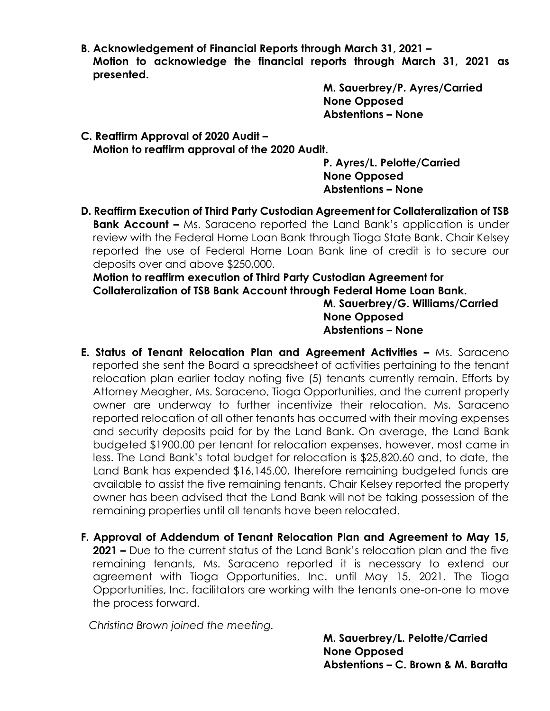**B. Acknowledgement of Financial Reports through March 31, 2021 – Motion to acknowledge the financial reports through March 31, 2021 as presented.** 

> **M. Sauerbrey/P. Ayres/Carried None Opposed Abstentions – None**

**C. Reaffirm Approval of 2020 Audit – Motion to reaffirm approval of the 2020 Audit.** 

**P. Ayres/L. Pelotte/Carried None Opposed Abstentions – None**

**D. Reaffirm Execution of Third Party Custodian Agreement for Collateralization of TSB Bank Account –** Ms. Saraceno reported the Land Bank's application is under review with the Federal Home Loan Bank through Tioga State Bank. Chair Kelsey reported the use of Federal Home Loan Bank line of credit is to secure our deposits over and above \$250,000.

**Motion to reaffirm execution of Third Party Custodian Agreement for Collateralization of TSB Bank Account through Federal Home Loan Bank.** 

**M. Sauerbrey/G. Williams/Carried None Opposed Abstentions – None**

- **E. Status of Tenant Relocation Plan and Agreement Activities –** Ms. Saraceno reported she sent the Board a spreadsheet of activities pertaining to the tenant relocation plan earlier today noting five (5) tenants currently remain. Efforts by Attorney Meagher, Ms. Saraceno, Tioga Opportunities, and the current property owner are underway to further incentivize their relocation. Ms. Saraceno reported relocation of all other tenants has occurred with their moving expenses and security deposits paid for by the Land Bank. On average, the Land Bank budgeted \$1900.00 per tenant for relocation expenses, however, most came in less. The Land Bank's total budget for relocation is \$25,820.60 and, to date, the Land Bank has expended \$16,145.00, therefore remaining budgeted funds are available to assist the five remaining tenants. Chair Kelsey reported the property owner has been advised that the Land Bank will not be taking possession of the remaining properties until all tenants have been relocated.
- **F. Approval of Addendum of Tenant Relocation Plan and Agreement to May 15, 2021 –** Due to the current status of the Land Bank's relocation plan and the five remaining tenants, Ms. Saraceno reported it is necessary to extend our agreement with Tioga Opportunities, Inc. until May 15, 2021. The Tioga Opportunities, Inc. facilitators are working with the tenants one-on-one to move the process forward.

*Christina Brown joined the meeting.* 

**M. Sauerbrey/L. Pelotte/Carried None Opposed Abstentions – C. Brown & M. Baratta**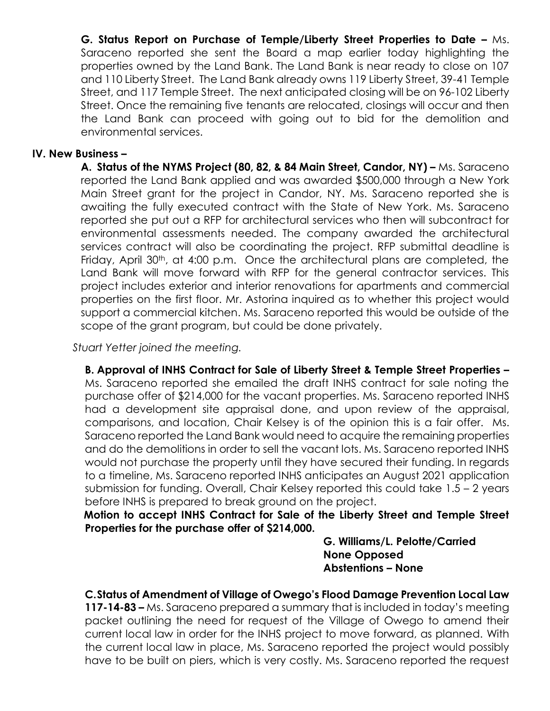**G. Status Report on Purchase of Temple/Liberty Street Properties to Date –** Ms. Saraceno reported she sent the Board a map earlier today highlighting the properties owned by the Land Bank. The Land Bank is near ready to close on 107 and 110 Liberty Street. The Land Bank already owns 119 Liberty Street, 39-41 Temple Street, and 117 Temple Street. The next anticipated closing will be on 96-102 Liberty Street. Once the remaining five tenants are relocated, closings will occur and then the Land Bank can proceed with going out to bid for the demolition and environmental services.

## **IV. New Business –**

**A. Status of the NYMS Project (80, 82, & 84 Main Street, Candor, NY) –** Ms. Saraceno reported the Land Bank applied and was awarded \$500,000 through a New York Main Street grant for the project in Candor, NY. Ms. Saraceno reported she is awaiting the fully executed contract with the State of New York. Ms. Saraceno reported she put out a RFP for architectural services who then will subcontract for environmental assessments needed. The company awarded the architectural services contract will also be coordinating the project. RFP submittal deadline is Friday, April 30<sup>th</sup>, at 4:00 p.m. Once the architectural plans are completed, the Land Bank will move forward with RFP for the general contractor services. This project includes exterior and interior renovations for apartments and commercial properties on the first floor. Mr. Astorina inquired as to whether this project would support a commercial kitchen. Ms. Saraceno reported this would be outside of the scope of the grant program, but could be done privately.

*Stuart Yetter joined the meeting.* 

**B. Approval of INHS Contract for Sale of Liberty Street & Temple Street Properties –** Ms. Saraceno reported she emailed the draft INHS contract for sale noting the purchase offer of \$214,000 for the vacant properties. Ms. Saraceno reported INHS had a development site appraisal done, and upon review of the appraisal, comparisons, and location, Chair Kelsey is of the opinion this is a fair offer. Ms. Saraceno reported the Land Bank would need to acquire the remaining properties and do the demolitions in order to sell the vacant lots. Ms. Saraceno reported INHS would not purchase the property until they have secured their funding. In regards to a timeline, Ms. Saraceno reported INHS anticipates an August 2021 application submission for funding. Overall, Chair Kelsey reported this could take 1.5 – 2 years before INHS is prepared to break ground on the project.

**Motion to accept INHS Contract for Sale of the Liberty Street and Temple Street Properties for the purchase offer of \$214,000.**

> **G. Williams/L. Pelotte/Carried None Opposed Abstentions – None**

**C.Status of Amendment of Village of Owego's Flood Damage Prevention Local Law** 

**117-14-83 –** Ms. Saraceno prepared a summary that is included in today's meeting packet outlining the need for request of the Village of Owego to amend their current local law in order for the INHS project to move forward, as planned. With the current local law in place, Ms. Saraceno reported the project would possibly have to be built on piers, which is very costly. Ms. Saraceno reported the request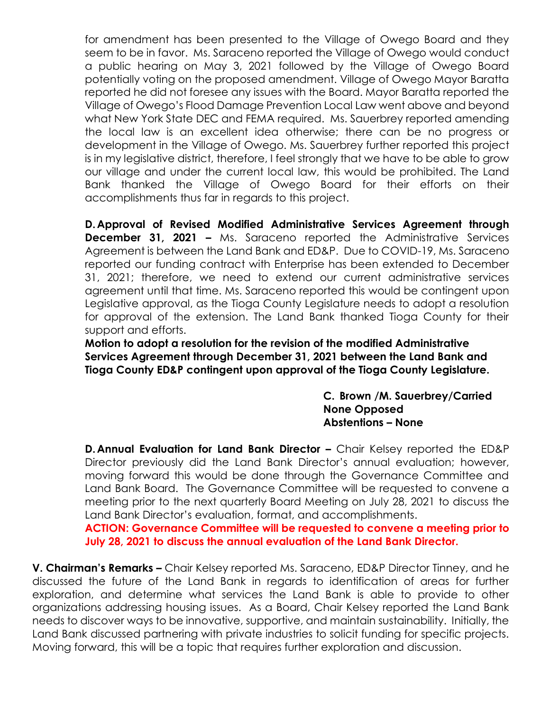for amendment has been presented to the Village of Owego Board and they seem to be in favor. Ms. Saraceno reported the Village of Owego would conduct a public hearing on May 3, 2021 followed by the Village of Owego Board potentially voting on the proposed amendment. Village of Owego Mayor Baratta reported he did not foresee any issues with the Board. Mayor Baratta reported the Village of Owego's Flood Damage Prevention Local Law went above and beyond what New York State DEC and FEMA required. Ms. Sauerbrey reported amending the local law is an excellent idea otherwise; there can be no progress or development in the Village of Owego. Ms. Sauerbrey further reported this project is in my legislative district, therefore, I feel strongly that we have to be able to grow our village and under the current local law, this would be prohibited. The Land Bank thanked the Village of Owego Board for their efforts on their accomplishments thus far in regards to this project.

**D.Approval of Revised Modified Administrative Services Agreement through December 31, 2021 –** Ms. Saraceno reported the Administrative Services Agreement is between the Land Bank and ED&P. Due to COVID-19, Ms. Saraceno reported our funding contract with Enterprise has been extended to December 31, 2021; therefore, we need to extend our current administrative services agreement until that time. Ms. Saraceno reported this would be contingent upon Legislative approval, as the Tioga County Legislature needs to adopt a resolution for approval of the extension. The Land Bank thanked Tioga County for their support and efforts.

**Motion to adopt a resolution for the revision of the modified Administrative Services Agreement through December 31, 2021 between the Land Bank and Tioga County ED&P contingent upon approval of the Tioga County Legislature.** 

> **C. Brown /M. Sauerbrey/Carried None Opposed Abstentions – None**

**D.Annual Evaluation for Land Bank Director –** Chair Kelsey reported the ED&P Director previously did the Land Bank Director's annual evaluation; however, moving forward this would be done through the Governance Committee and Land Bank Board. The Governance Committee will be requested to convene a meeting prior to the next quarterly Board Meeting on July 28, 2021 to discuss the Land Bank Director's evaluation, format, and accomplishments.

**ACTION: Governance Committee will be requested to convene a meeting prior to July 28, 2021 to discuss the annual evaluation of the Land Bank Director.** 

**V. Chairman's Remarks –** Chair Kelsey reported Ms. Saraceno, ED&P Director Tinney, and he discussed the future of the Land Bank in regards to identification of areas for further exploration, and determine what services the Land Bank is able to provide to other organizations addressing housing issues. As a Board, Chair Kelsey reported the Land Bank needs to discover ways to be innovative, supportive, and maintain sustainability. Initially, the Land Bank discussed partnering with private industries to solicit funding for specific projects. Moving forward, this will be a topic that requires further exploration and discussion.